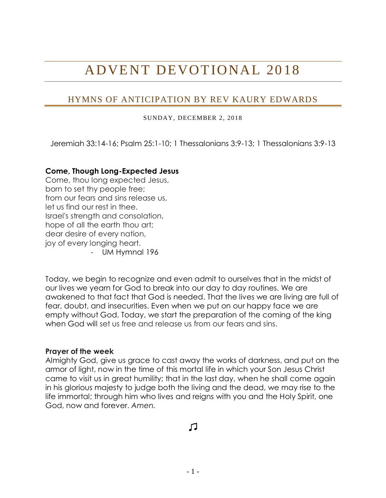# ADVENT DEVOTIONAL 20 18

# HYMNS OF ANTICIPATION BY REV KAURY EDWARDS

SUNDAY, DECEMBER 2, 2018

Jeremiah 33:14-16; Psalm 25:1-10; 1 Thessalonians 3:9-13; 1 Thessalonians 3:9-13

#### **Come, Though Long-Expected Jesus**

Come, thou long expected Jesus, born to set thy people free; from our fears and sins release us, let us find our rest in thee. Israel's strength and consolation, hope of all the earth thou art; dear desire of every nation, joy of every longing heart.

- UM Hymnal 196

Today, we begin to recognize and even admit to ourselves that in the midst of our lives we yearn for God to break into our day to day routines. We are awakened to that fact that God is needed. That the lives we are living are full of fear, doubt, and insecurities. Even when we put on our happy face we are empty without God. Today, we start the preparation of the coming of the king when God will set us free and release us from our fears and sins.

#### **Prayer of the week**

Almighty God, give us grace to cast away the works of darkness, and put on the armor of light, now in the time of this mortal life in which your Son Jesus Christ came to visit us in great humility; that in the last day, when he shall come again in his glorious majesty to judge both the living and the dead, we may rise to the life immortal; through him who lives and reigns with you and the Holy Spirit, one God, now and forever. *Amen.*

л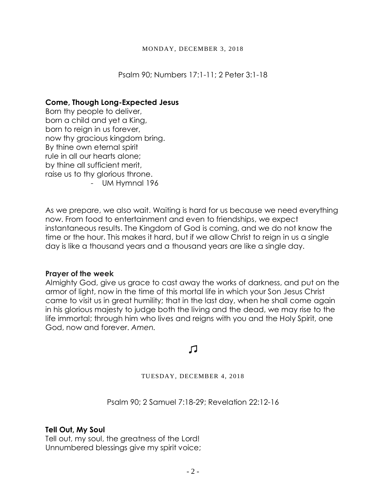Psalm 90; Numbers 17:1-11; 2 Peter 3:1-18

### **Come, Though Long-Expected Jesus**

Born thy people to deliver, born a child and yet a King, born to reign in us forever, now thy gracious kingdom bring. By thine own eternal spirit rule in all our hearts alone; by thine all sufficient merit, raise us to thy glorious throne. - UM Hymnal 196

As we prepare, we also wait. Waiting is hard for us because we need everything now. From food to entertainment and even to friendships, we expect instantaneous results. The Kingdom of God is coming, and we do not know the time or the hour. This makes it hard, but if we allow Christ to reign in us a single day is like a thousand years and a thousand years are like a single day.

### **Prayer of the week**

Almighty God, give us grace to cast away the works of darkness, and put on the armor of light, now in the time of this mortal life in which your Son Jesus Christ came to visit us in great humility; that in the last day, when he shall come again in his glorious majesty to judge both the living and the dead, we may rise to the life immortal; through him who lives and reigns with you and the Holy Spirit, one God, now and forever. *Amen.*

# 口

#### TUESDAY, DECEMBER 4, 2018

Psalm 90; 2 Samuel 7:18-29; Revelation 22:12-16

### **Tell Out, My Soul**

Tell out, my soul, the greatness of the Lord! Unnumbered blessings give my spirit voice;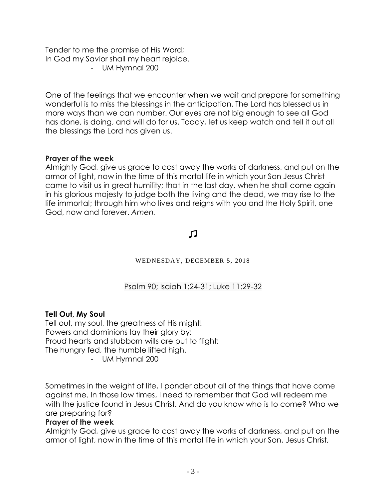Tender to me the promise of His Word; In God my Savior shall my heart rejoice. - UM Hymnal 200

One of the feelings that we encounter when we wait and prepare for something wonderful is to miss the blessings in the anticipation. The Lord has blessed us in more ways than we can number. Our eyes are not big enough to see all God has done, is doing, and will do for us. Today, let us keep watch and tell it out all the blessings the Lord has given us.

# **Prayer of the week**

Almighty God, give us grace to cast away the works of darkness, and put on the armor of light, now in the time of this mortal life in which your Son Jesus Christ came to visit us in great humility; that in the last day, when he shall come again in his glorious majesty to judge both the living and the dead, we may rise to the life immortal; through him who lives and reigns with you and the Holy Spirit, one God, now and forever. *Amen.*

# $\Gamma$

# WEDNESDAY, DECEMBER 5, 2018

Psalm 90; Isaiah 1:24-31; Luke 11:29-32

# **Tell Out, My Soul**

Tell out, my soul, the greatness of His might! Powers and dominions lay their glory by; Proud hearts and stubborn wills are put to flight; The hungry fed, the humble lifted high.

- UM Hymnal 200

Sometimes in the weight of life, I ponder about all of the things that have come against me. In those low times, I need to remember that God will redeem me with the justice found in Jesus Christ. And do you know who is to come? Who we are preparing for?

### **Prayer of the week**

Almighty God, give us grace to cast away the works of darkness, and put on the armor of light, now in the time of this mortal life in which your Son, Jesus Christ,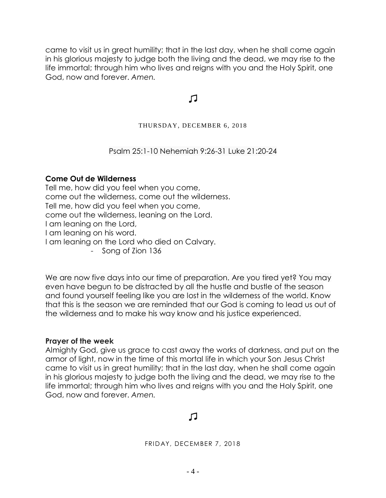came to visit us in great humility; that in the last day, when he shall come again in his glorious majesty to judge both the living and the dead, we may rise to the life immortal; through him who lives and reigns with you and the Holy Spirit, one God, now and forever. *Amen.*

# 口

#### THURSDAY, DECEMBER 6, 2018

Psalm 25:1-10 Nehemiah 9:26-31 Luke 21:20-24

#### **Come Out de Wilderness**

Tell me, how did you feel when you come, come out the wilderness, come out the wilderness. Tell me, how did you feel when you come, come out the wilderness, leaning on the Lord. I am leaning on the Lord, I am leaning on his word. I am leaning on the Lord who died on Calvary.

- Song of Zion 136

We are now five days into our time of preparation. Are you tired yet? You may even have begun to be distracted by all the hustle and bustle of the season and found yourself feeling like you are lost in the wilderness of the world. Know that this is the season we are reminded that our God is coming to lead us out of the wilderness and to make his way know and his justice experienced.

### **Prayer of the week**

Almighty God, give us grace to cast away the works of darkness, and put on the armor of light, now in the time of this mortal life in which your Son Jesus Christ came to visit us in great humility; that in the last day, when he shall come again in his glorious majesty to judge both the living and the dead, we may rise to the life immortal; through him who lives and reigns with you and the Holy Spirit, one God, now and forever. *Amen.*

# 口

FRIDAY, DECEMBER 7, 2018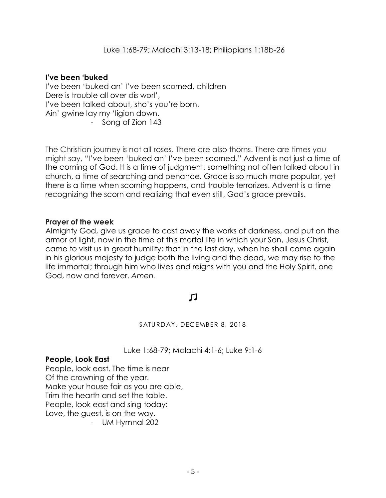# **I've been 'buked**

I've been 'buked an' I've been scorned, children Dere is trouble all over dis worl', I've been talked about, sho's you're born, Ain' gwine lay my 'ligion down. - Song of Zion 143

The Christian journey is not all roses. There are also thorns. There are times you might say, "I've been 'buked an' I've been scorned." Advent is not just a time of the coming of God. It is a time of judgment, something not often talked about in church, a time of searching and penance. Grace is so much more popular, yet there is a time when scorning happens, and trouble terrorizes. Advent is a time recognizing the scorn and realizing that even still, God's grace prevails.

### **Prayer of the week**

Almighty God, give us grace to cast away the works of darkness, and put on the armor of light, now in the time of this mortal life in which your Son, Jesus Christ, came to visit us in great humility; that in the last day, when he shall come again in his glorious majesty to judge both the living and the dead, we may rise to the life immortal; through him who lives and reigns with you and the Holy Spirit, one God, now and forever. *Amen.*

# 几

### SATURDAY, DECEMBER 8, 2018

### Luke 1:68-79; Malachi 4:1-6; Luke 9:1-6

### **People, Look East**

People, look east. The time is near Of the crowning of the year. Make your house fair as you are able, Trim the hearth and set the table. People, look east and sing today: Love, the guest, is on the way. - UM Hymnal 202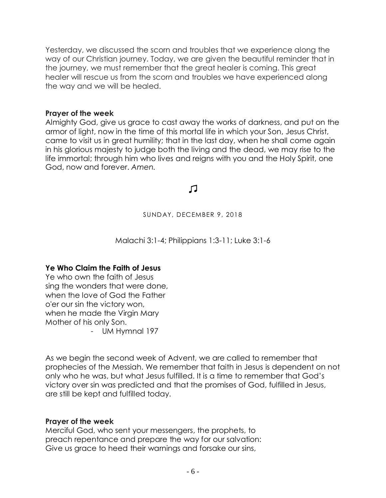Yesterday, we discussed the scorn and troubles that we experience along the way of our Christian journey. Today, we are given the beautiful reminder that in the journey, we must remember that the great healer is coming. This great healer will rescue us from the scorn and troubles we have experienced along the way and we will be healed.

### **Prayer of the week**

Almighty God, give us grace to cast away the works of darkness, and put on the armor of light, now in the time of this mortal life in which your Son, Jesus Christ, came to visit us in great humility; that in the last day, when he shall come again in his glorious majesty to judge both the living and the dead, we may rise to the life immortal; through him who lives and reigns with you and the Holy Spirit, one God, now and forever. *Amen.*

# 口

SUNDAY, DECEMBER 9, 2018

Malachi 3:1-4; Philippians 1:3-11; Luke 3:1-6

### **Ye Who Claim the Faith of Jesus**

Ye who own the faith of Jesus sing the wonders that were done, when the love of God the Father o'er our sin the victory won, when he made the Virgin Mary Mother of his only Son.

- UM Hymnal 197

As we begin the second week of Advent, we are called to remember that prophecies of the Messiah. We remember that faith in Jesus is dependent on not only who he was, but what Jesus fulfilled. It is a time to remember that God's victory over sin was predicted and that the promises of God, fulfilled in Jesus, are still be kept and fulfilled today.

### **Prayer of the week**

Merciful God, who sent your messengers, the prophets, to preach repentance and prepare the way for our salvation: Give us grace to heed their warnings and forsake our sins,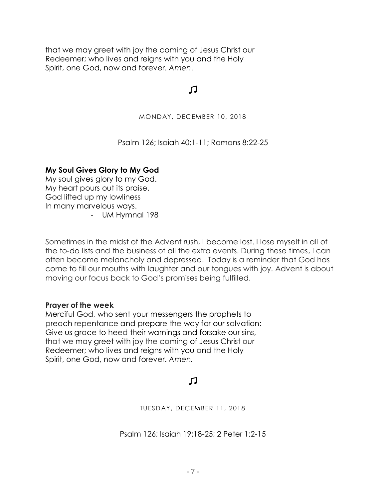that we may greet with joy the coming of Jesus Christ our Redeemer; who lives and reigns with you and the Holy Spirit, one God, now and forever. *Amen*.

# $\Gamma$

#### MONDAY, DECEMBER 10, 2018

### Psalm 126; Isaiah 40:1-11; Romans 8:22-25

### **My Soul Gives Glory to My God**

My soul gives glory to my God. My heart pours out its praise. God lifted up my lowliness In many marvelous ways. - UM Hymnal 198

Sometimes in the midst of the Advent rush, I become lost. I lose myself in all of the to-do lists and the business of all the extra events. During these times, I can often become melancholy and depressed. Today is a reminder that God has come to fill our mouths with laughter and our tongues with joy. Advent is about moving our focus back to God's promises being fulfilled.

### **Prayer of the week**

Merciful God, who sent your messengers the prophets to preach repentance and prepare the way for our salvation: Give us grace to heed their warnings and forsake our sins, that we may greet with joy the coming of Jesus Christ our Redeemer; who lives and reigns with you and the Holy Spirit, one God, now and forever. *Amen.*

# 口

TUESDAY, DECEMBER 11, 2018

Psalm 126; Isaiah 19:18-25; 2 Peter 1:2-15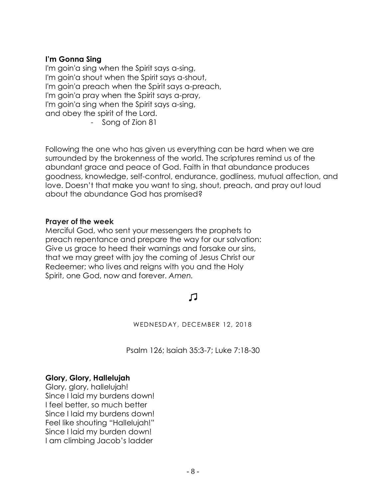### **I'm Gonna Sing**

I'm goin'a sing when the Spirit says a-sing, I'm goin'a shout when the Spirit says a-shout, I'm goin'a preach when the Spirit says a-preach, I'm goin'a pray when the Spirit says a-pray, I'm goin'a sing when the Spirit says a-sing, and obey the spirit of the Lord.

- Song of Zion 81

Following the one who has given us everything can be hard when we are surrounded by the brokenness of the world. The scriptures remind us of the abundant grace and peace of God. Faith in that abundance produces goodness, knowledge, self-control, endurance, godliness, mutual affection, and love. Doesn't that make you want to sing, shout, preach, and pray out loud about the abundance God has promised?

#### **Prayer of the week**

Merciful God, who sent your messengers the prophets to preach repentance and prepare the way for our salvation: Give us grace to heed their warnings and forsake our sins, that we may greet with joy the coming of Jesus Christ our Redeemer; who lives and reigns with you and the Holy Spirit, one God, now and forever. *Amen.*

# 几

WEDNESDAY, DECEMBER 12, 2018

Psalm 126; Isaiah 35:3-7; Luke 7:18-30

### **Glory, Glory, Hallelujah**

Glory, glory, hallelujah! Since I laid my burdens down! I feel better, so much better Since I laid my burdens down! Feel like shouting "Hallelujah!" Since I laid my burden down! I am climbing Jacob's ladder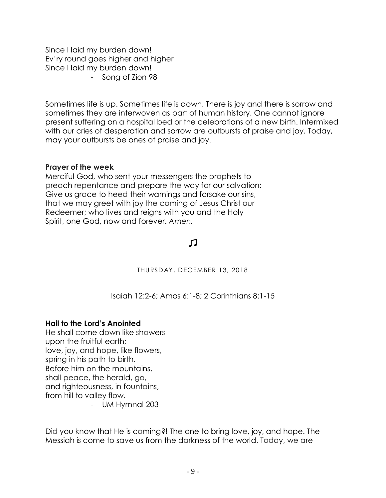Since I laid my burden down! Ev'ry round goes higher and higher Since I laid my burden down! - Song of Zion 98

Sometimes life is up. Sometimes life is down. There is joy and there is sorrow and sometimes they are interwoven as part of human history. One cannot ignore present suffering on a hospital bed or the celebrations of a new birth. Intermixed with our cries of desperation and sorrow are outbursts of praise and joy. Today, may your outbursts be ones of praise and joy.

### **Prayer of the week**

Merciful God, who sent your messengers the prophets to preach repentance and prepare the way for our salvation: Give us grace to heed their warnings and forsake our sins, that we may greet with joy the coming of Jesus Christ our Redeemer; who lives and reigns with you and the Holy Spirit, one God, now and forever. *Amen.*

# 口

THURSDAY, DECEMBER 13, 2018

Isaiah 12:2-6; Amos 6:1-8; 2 Corinthians 8:1-15

### **Hail to the Lord's Anointed**

He shall come down like showers upon the fruitful earth; love, joy, and hope, like flowers, spring in his path to birth. Before him on the mountains, shall peace, the herald, go, and righteousness, in fountains, from hill to valley flow.

- UM Hymnal 203

Did you know that He is coming?! The one to bring love, joy, and hope. The Messiah is come to save us from the darkness of the world. Today, we are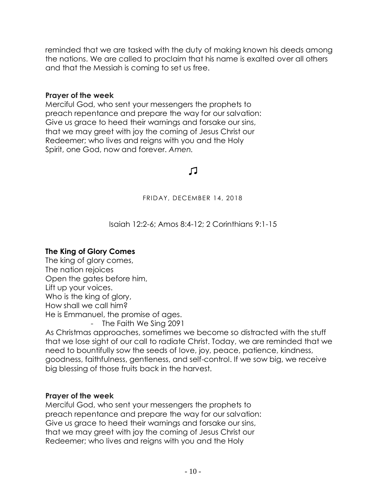reminded that we are tasked with the duty of making known his deeds among the nations. We are called to proclaim that his name is exalted over all others and that the Messiah is coming to set us free.

### **Prayer of the week**

Merciful God, who sent your messengers the prophets to preach repentance and prepare the way for our salvation: Give us grace to heed their warnings and forsake our sins, that we may greet with joy the coming of Jesus Christ our Redeemer; who lives and reigns with you and the Holy Spirit, one God, now and forever. *Amen.*

# 几

FRIDAY, DECEMBER 14, 2018

Isaiah 12:2-6; Amos 8:4-12; 2 Corinthians 9:1-15

# **The King of Glory Comes**

The king of glory comes, The nation rejoices Open the gates before him, Lift up your voices. Who is the king of glory, How shall we call him? He is Emmanuel, the promise of ages. - The Faith We Sing 2091

As Christmas approaches, sometimes we become so distracted with the stuff that we lose sight of our call to radiate Christ. Today, we are reminded that we need to bountifully sow the seeds of love, joy, peace, patience, kindness, goodness, faithfulness, gentleness, and self-control. If we sow big, we receive big blessing of those fruits back in the harvest.

# **Prayer of the week**

Merciful God, who sent your messengers the prophets to preach repentance and prepare the way for our salvation: Give us grace to heed their warnings and forsake our sins, that we may greet with joy the coming of Jesus Christ our Redeemer; who lives and reigns with you and the Holy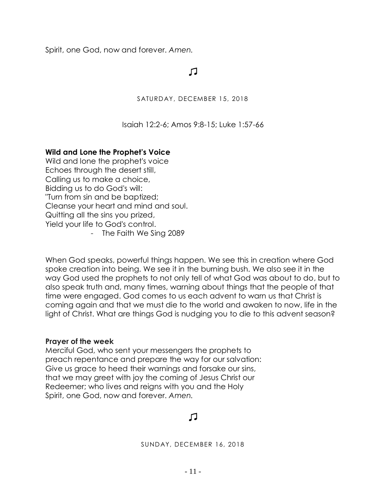Spirit, one God, now and forever. *Amen.*

# 口

SATURDAY, DECEMBER 15, 2018

Isaiah 12:2-6; Amos 9:8-15; Luke 1:57-66

# **Wild and Lone the Prophet's Voice**

Wild and lone the prophet's voice Echoes through the desert still, Calling us to make a choice, Bidding us to do God's will: "Turn from sin and be baptized; Cleanse your heart and mind and soul. Quitting all the sins you prized, Yield your life to God's control.

- The Faith We Sing 2089

When God speaks, powerful things happen. We see this in creation where God spoke creation into being. We see it in the burning bush. We also see it in the way God used the prophets to not only tell of what God was about to do, but to also speak truth and, many times, warning about things that the people of that time were engaged. God comes to us each advent to warn us that Christ is coming again and that we must die to the world and awaken to now, life in the light of Christ. What are things God is nudging you to die to this advent season?

### **Prayer of the week**

Merciful God, who sent your messengers the prophets to preach repentance and prepare the way for our salvation: Give us grace to heed their warnings and forsake our sins, that we may greet with joy the coming of Jesus Christ our Redeemer; who lives and reigns with you and the Holy Spirit, one God, now and forever. *Amen.*

# 口

SUNDAY, DECEMBER 16, 2018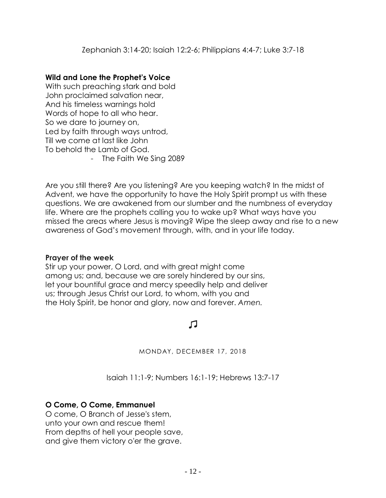# **Wild and Lone the Prophet's Voice**

With such preaching stark and bold John proclaimed salvation near, And his timeless warnings hold Words of hope to all who hear. So we dare to journey on, Led by faith through ways untrod, Till we come at last like John To behold the Lamb of God.

- The Faith We Sing 2089

Are you still there? Are you listening? Are you keeping watch? In the midst of Advent, we have the opportunity to have the Holy Spirit prompt us with these questions. We are awakened from our slumber and the numbness of everyday life. Where are the prophets calling you to wake up? What ways have you missed the areas where Jesus is moving? Wipe the sleep away and rise to a new awareness of God's movement through, with, and in your life today.

# **Prayer of the week**

Stir up your power, O Lord, and with great might come among us; and, because we are sorely hindered by our sins, let your bountiful grace and mercy speedily help and deliver us; through Jesus Christ our Lord, to whom, with you and the Holy Spirit, be honor and glory, now and forever. *Amen.*

# 几

MONDAY, DECEMBER 17, 2018

Isaiah 11:1-9; Numbers 16:1-19; Hebrews 13:7-17

# **O Come, O Come, Emmanuel**

O come, O Branch of Jesse's stem, unto your own and rescue them! From depths of hell your people save, and give them victory o'er the grave.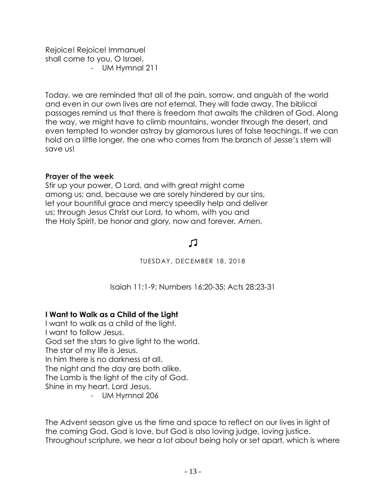Rejoice! Rejoice! Immanuel shall come to you, O Israel. - UM Hymnal 211

Today, we are reminded that all of the pain, sorrow, and anguish of the world and even in our own lives are not eternal. They will fade away. The biblical passages remind us that there is freedom that awaits the children of God. Along the way, we might have to climb mountains, wonder through the desert, and even tempted to wonder astray by glamorous lures of false teachings. If we can hold on a little longer, the one who comes from the branch of Jesse's stem will save us!

# **Prayer of the week**

Stir up your power, O Lord, and with great might come among us; and, because we are sorely hindered by our sins, let your bountiful grace and mercy speedily help and deliver us; through Jesus Christ our Lord, to whom, with you and the Holy Spirit, be honor and glory, now and forever*. Amen.*

# Л

### TUESDAY, DECEMBER 18, 2018

Isaiah 11:1-9; Numbers 16:20-35; Acts 28:23-31

# **I Want to Walk as a Child of the Light**

I want to walk as a child of the light. I want to follow Jesus. God set the stars to give light to the world. The star of my life is Jesus. In him there is no darkness at all. The night and the day are both alike. The Lamb is the light of the city of God. Shine in my heart, Lord Jesus.

- UM Hymnal 206

The Advent season give us the time and space to reflect on our lives in light of the coming God. God is love, but God is also loving judge, loving justice. Throughout scripture, we hear a lot about being holy or set apart, which is where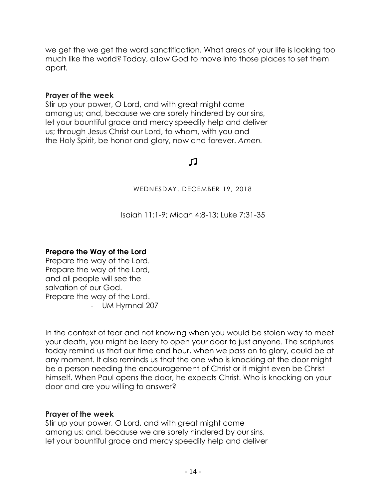we get the we get the word sanctification. What areas of your life is looking too much like the world? Today, allow God to move into those places to set them apart.

### **Prayer of the week**

Stir up your power, O Lord, and with great might come among us; and, because we are sorely hindered by our sins, let your bountiful grace and mercy speedily help and deliver us; through Jesus Christ our Lord, to whom, with you and the Holy Spirit, be honor and glory, now and forever. *Amen.*

# 口

WEDNESDAY, DECEMBER 19, 2018

Isaiah 11:1-9; Micah 4:8-13; Luke 7:31-35

# **Prepare the Way of the Lord**

Prepare the way of the Lord. Prepare the way of the Lord, and all people will see the salvation of our God. Prepare the way of the Lord. - UM Hymnal 207

In the context of fear and not knowing when you would be stolen way to meet your death, you might be leery to open your door to just anyone. The scriptures today remind us that our time and hour, when we pass on to glory, could be at any moment. It also reminds us that the one who is knocking at the door might be a person needing the encouragement of Christ or it might even be Christ himself. When Paul opens the door, he expects Christ. Who is knocking on your door and are you willing to answer?

### **Prayer of the week**

Stir up your power, O Lord, and with great might come among us; and, because we are sorely hindered by our sins, let your bountiful grace and mercy speedily help and deliver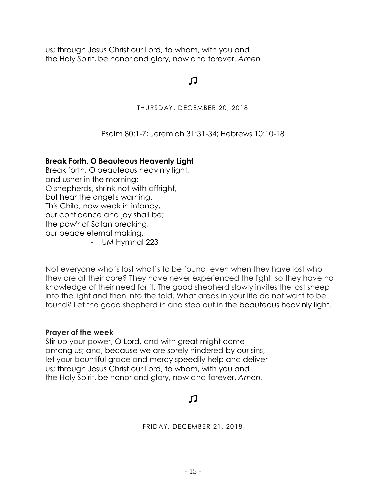us; through Jesus Christ our Lord, to whom, with you and the Holy Spirit, be honor and glory, now and forever. *Amen.*

# $\Gamma$

#### THURSDAY, DECEMBER 20, 2018

Psalm 80:1-7; Jeremiah 31:31-34; Hebrews 10:10-18

### **Break Forth, O Beauteous Heavenly Light**

Break forth, O beauteous heav'nly light, and usher in the morning; O shepherds, shrink not with affright, but hear the angel's warning. This Child, now weak in infancy, our confidence and joy shall be; the pow'r of Satan breaking, our peace eternal making. - UM Hymnal 223

Not everyone who is lost what's to be found, even when they have lost who they are at their core? They have never experienced the light, so they have no knowledge of their need for it. The good shepherd slowly invites the lost sheep into the light and then into the fold. What areas in your life do not want to be found? Let the good shepherd in and step out in the beauteous heav'nly light.

#### **Prayer of the week**

Stir up your power, O Lord, and with great might come among us; and, because we are sorely hindered by our sins, let your bountiful grace and mercy speedily help and deliver us; through Jesus Christ our Lord, to whom, with you and the Holy Spirit, be honor and glory, now and forever. *Amen.*

# Л

FRIDAY, DECEMBER 21, 2018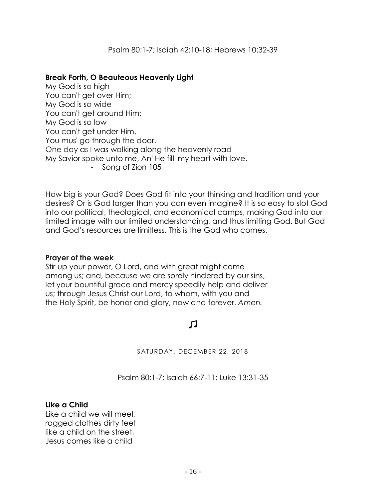### **Break Forth, O Beauteous Heavenly Light**

My God is so high You can't get over Him; My God is so wide You can't get around Him; My God is so low You can't get under Him, You mus' go through the door. One day as I was walking along the heavenly road My Savior spoke unto me, An' He fill' my heart with love. - Song of Zion 105

How big is your God? Does God fit into your thinking and tradition and your desires? Or is God larger than you can even imagine? It is so easy to slot God into our political, theological, and economical camps, making God into our limited image with our limited understanding, and thus limiting God. But God and God's resources are limitless. This is the God who comes.

### **Prayer of the week**

Stir up your power, O Lord, and with great might come among us; and, because we are sorely hindered by our sins, let your bountiful grace and mercy speedily help and deliver us; through Jesus Christ our Lord, to whom, with you and the Holy Spirit, be honor and glory, now and forever. *Amen.*

# 口

SATURDAY, DECEMBER 22, 2018

Psalm 80:1-7; Isaiah 66:7-11; Luke 13:31-35

### **Like a Child**

Like a child we will meet, ragged clothes dirty feet like a child on the street, Jesus comes like a child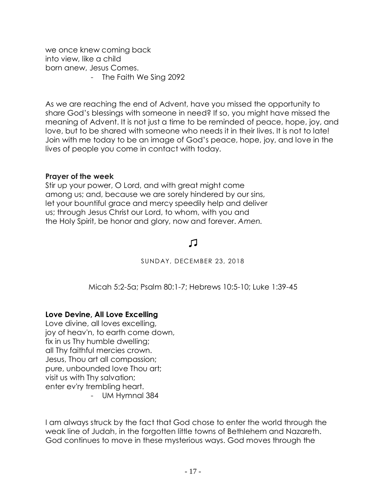we once knew coming back into view, like a child born anew, Jesus Comes.

- The Faith We Sing 2092

As we are reaching the end of Advent, have you missed the opportunity to share God's blessings with someone in need? If so, you might have missed the meaning of Advent. It is not just a time to be reminded of peace, hope, joy, and love, but to be shared with someone who needs it in their lives. It is not to late! Join with me today to be an image of God's peace, hope, joy, and love in the lives of people you come in contact with today.

### **Prayer of the week**

Stir up your power, O Lord, and with great might come among us; and, because we are sorely hindered by our sins, let your bountiful grace and mercy speedily help and deliver us; through Jesus Christ our Lord, to whom, with you and the Holy Spirit, be honor and glory, now and forever. *Amen.*

# Л

SUNDAY, DECEMBER 23, 2018

Micah 5:2-5a; Psalm 80:1-7; Hebrews 10:5-10; Luke 1:39-45

# **Love Devine, All Love Excelling**

Love divine, all loves excelling, joy of heav'n, to earth come down, fix in us Thy humble dwelling; all Thy faithful mercies crown. Jesus, Thou art all compassion; pure, unbounded love Thou art; visit us with Thy salvation; enter ev'ry trembling heart.

- UM Hymnal 384

I am always struck by the fact that God chose to enter the world through the weak line of Judah, in the forgotten little towns of Bethlehem and Nazareth. God continues to move in these mysterious ways. God moves through the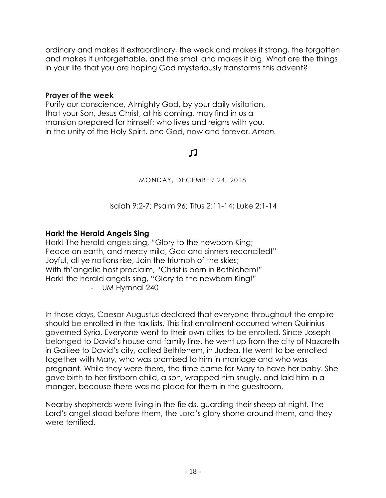ordinary and makes it extraordinary, the weak and makes it strong, the forgotten and makes it unforgettable, and the small and makes it big. What are the things in your life that you are hoping God mysteriously transforms this advent?

### **Prayer of the week**

Purify our conscience, Almighty God, by your daily visitation, that your Son, Jesus Christ, at his coming, may find in us a mansion prepared for himself; who lives and reigns with you, in the unity of the Holy Spirit, one God, now and forever. *Amen.*

# 口

### MONDAY, DECEMBER 24, 2018

Isaiah 9:2-7; Psalm 96; Titus 2:11-14; Luke 2:1-14

# **Hark! the Herald Angels Sing**

Hark! The herald angels sing, "Glory to the newborn King; Peace on earth, and mercy mild, God and sinners reconciled!" Joyful, all ye nations rise, Join the triumph of the skies; With th'angelic host proclaim, "Christ is born in Bethlehem!" Hark! the herald angels sing, "Glory to the newborn King!" - UM Hymnal 240

In those days, Caesar Augustus declared that everyone throughout the empire should be enrolled in the tax lists. This first enrollment occurred when Quirinius governed Syria. Everyone went to their own cities to be enrolled. Since Joseph belonged to David's house and family line, he went up from the city of Nazareth in Galilee to David's city, called Bethlehem, in Judea. He went to be enrolled together with Mary, who was promised to him in marriage and who was pregnant. While they were there, the time came for Mary to have her baby. She gave birth to her firstborn child, a son, wrapped him snugly, and laid him in a manger, because there was no place for them in the guestroom.

Nearby shepherds were living in the fields, guarding their sheep at night. The Lord's angel stood before them, the Lord's glory shone around them, and they were terrified.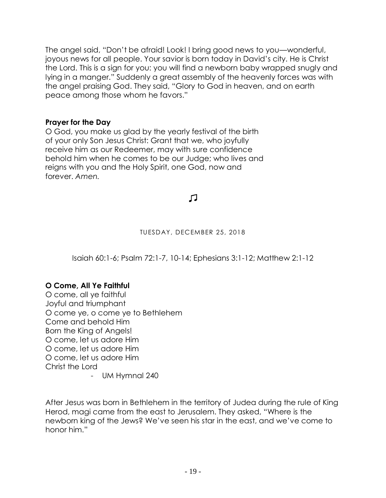The angel said, "Don't be afraid! Look! I bring good news to you—wonderful, joyous news for all people. Your savior is born today in David's city. He is Christ the Lord. This is a sign for you: you will find a newborn baby wrapped snugly and lying in a manger." Suddenly a great assembly of the heavenly forces was with the angel praising God. They said, "Glory to God in heaven, and on earth peace among those whom he favors."

# **Prayer for the Day**

O God, you make us glad by the yearly festival of the birth of your only Son Jesus Christ: Grant that we, who joyfully receive him as our Redeemer, may with sure confidence behold him when he comes to be our Judge; who lives and reigns with you and the Holy Spirit, one God, now and forever. *Amen.*

L.

### TUESDAY, DECEMBER 25, 2018

Isaiah 60:1-6; Psalm 72:1-7, 10-14; Ephesians 3:1-12; Matthew 2:1-12

# **O Come, All Ye Faithful**

O come, all ye faithful Joyful and triumphant O come ye, o come ye to Bethlehem Come and behold Him Born the King of Angels! O come, let us adore Him O come, let us adore Him O come, let us adore Him Christ the Lord - UM Hymnal 240

After Jesus was born in Bethlehem in the territory of Judea during the rule of King Herod, magi came from the east to Jerusalem. They asked, "Where is the newborn king of the Jews? We've seen his star in the east, and we've come to honor him."